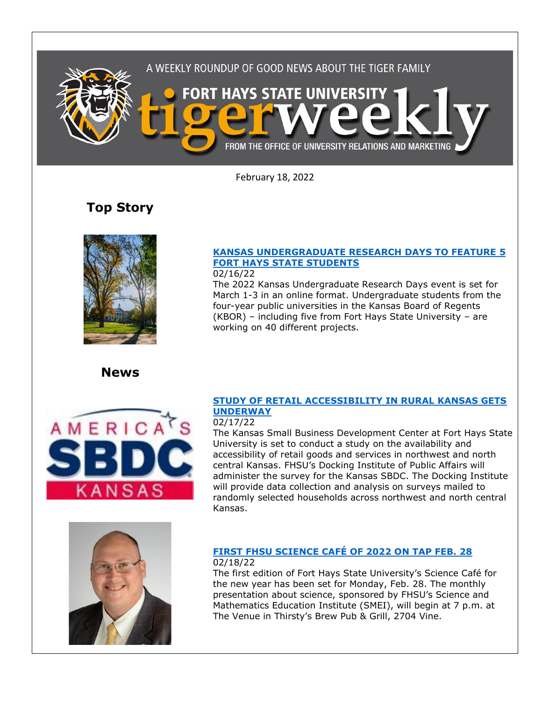

February 18, 2022

# **Top Story**



**News**



## **[FORT HAYS STATE STUDENTS](https://www.fhsu.edu/news/2022/02/kansas-undergraduate-research-days-to-feature-5-fort-hays-state-students)** 02/16/22

**[KANSAS UNDERGRADUATE RESEARCH DAYS TO FEATURE](https://www.fhsu.edu/news/2022/02/kansas-undergraduate-research-days-to-feature-5-fort-hays-state-students) 5** 

The 2022 Kansas Undergraduate Research Days event is set for March 1-3 in an online format. Undergraduate students from the four-year public universities in the Kansas Board of Regents (KBOR) – including five from Fort Hays State University – are working on 40 different projects.

### **[STUDY OF RETAIL ACCESSIBILITY IN RURAL KANSAS GETS](https://www.fhsu.edu/news/2022/02/study-of-retail-accessibility-in-rural-kansas-gets-underway)  [UNDERWAY](https://www.fhsu.edu/news/2022/02/study-of-retail-accessibility-in-rural-kansas-gets-underway)**

#### 02/17/22

The Kansas Small Business Development Center at Fort Hays State University is set to conduct a study on the availability and accessibility of retail goods and services in northwest and north central Kansas. FHSU's Docking Institute of Public Affairs will administer the survey for the Kansas SBDC. The Docking Institute will provide data collection and analysis on surveys mailed to randomly selected households across northwest and north central Kansas.



## **[FIRST FHSU SCIENCE CAFÉ OF 2022 ON TAP FEB. 28](https://www.fhsu.edu/news/2022/02/first-fhsu-science-cafe-of-2022-on-tap-feb.-28)**

### 02/18/22

The first edition of Fort Hays State University's Science Café for the new year has been set for Monday, Feb. 28. The monthly presentation about science, sponsored by FHSU's Science and Mathematics Education Institute (SMEI), will begin at 7 p.m. at The Venue in Thirsty's Brew Pub & Grill, 2704 Vine.